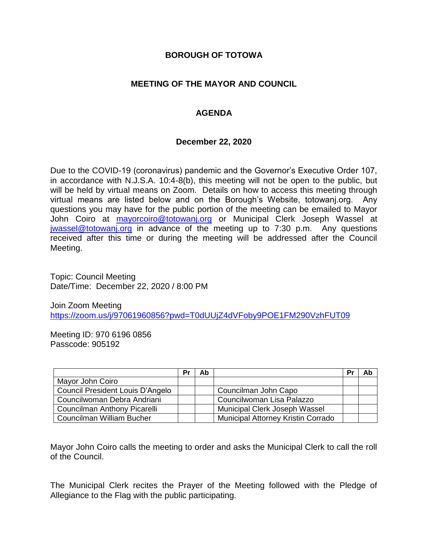## **BOROUGH OF TOTOWA**

# **MEETING OF THE MAYOR AND COUNCIL**

# **AGENDA**

### **December 22, 2020**

Due to the COVID-19 (coronavirus) pandemic and the Governor's Executive Order 107, in accordance with N.J.S.A. 10:4-8(b), this meeting will not be open to the public, but will be held by virtual means on Zoom. Details on how to access this meeting through virtual means are listed below and on the Borough's Website, totowanj.org. Any questions you may have for the public portion of the meeting can be emailed to Mayor John Coiro at [mayorcoiro@totowanj.org](mailto:mayorcoiro@totowanj.org) or Municipal Clerk Joseph Wassel at [jwassel@totowanj.org](mailto:jwassel@totowanj.org) in advance of the meeting up to 7:30 p.m. Any questions received after this time or during the meeting will be addressed after the Council Meeting.

Topic: Council Meeting Date/Time: December 22, 2020 / 8:00 PM

Join Zoom Meeting <https://zoom.us/j/97061960856?pwd=T0dUUjZ4dVFoby9POE1FM290VzhFUT09>

Meeting ID: 970 6196 0856 Passcode: 905192

|                                  | Pr | Ab |                                           | Pr | Ab |
|----------------------------------|----|----|-------------------------------------------|----|----|
| Mayor John Coiro                 |    |    |                                           |    |    |
| Council President Louis D'Angelo |    |    | Councilman John Capo                      |    |    |
| Councilwoman Debra Andriani      |    |    | Councilwoman Lisa Palazzo                 |    |    |
| Councilman Anthony Picarelli     |    |    | Municipal Clerk Joseph Wassel             |    |    |
| Councilman William Bucher        |    |    | <b>Municipal Attorney Kristin Corrado</b> |    |    |

Mayor John Coiro calls the meeting to order and asks the Municipal Clerk to call the roll of the Council.

The Municipal Clerk recites the Prayer of the Meeting followed with the Pledge of Allegiance to the Flag with the public participating.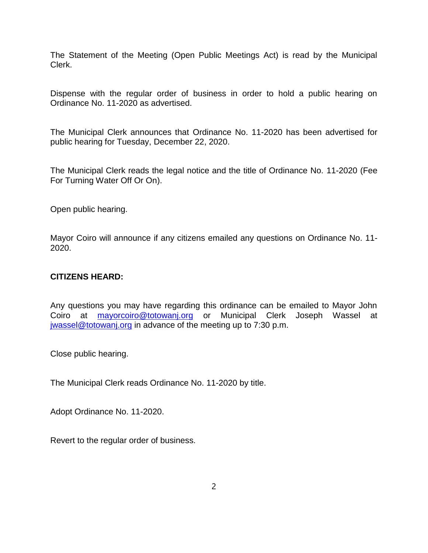The Statement of the Meeting (Open Public Meetings Act) is read by the Municipal Clerk.

Dispense with the regular order of business in order to hold a public hearing on Ordinance No. 11-2020 as advertised.

The Municipal Clerk announces that Ordinance No. 11-2020 has been advertised for public hearing for Tuesday, December 22, 2020.

The Municipal Clerk reads the legal notice and the title of Ordinance No. 11-2020 (Fee For Turning Water Off Or On).

Open public hearing.

Mayor Coiro will announce if any citizens emailed any questions on Ordinance No. 11- 2020.

## **CITIZENS HEARD:**

Any questions you may have regarding this ordinance can be emailed to Mayor John Coiro at [mayorcoiro@totowanj.org](mailto:mayorcoiro@totowanj.org) or Municipal Clerk Joseph Wassel at [jwassel@totowanj.org](mailto:jwassel@totowanj.org) in advance of the meeting up to 7:30 p.m.

Close public hearing.

The Municipal Clerk reads Ordinance No. 11-2020 by title.

Adopt Ordinance No. 11-2020.

Revert to the regular order of business.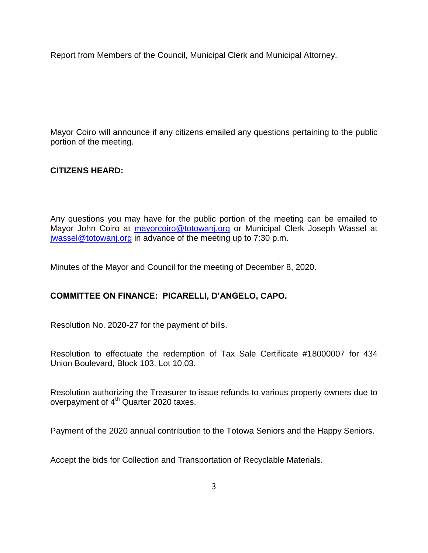Report from Members of the Council, Municipal Clerk and Municipal Attorney.

Mayor Coiro will announce if any citizens emailed any questions pertaining to the public portion of the meeting.

# **CITIZENS HEARD:**

Any questions you may have for the public portion of the meeting can be emailed to Mayor John Coiro at [mayorcoiro@totowanj.org](mailto:mayorcoiro@totowanj.org) or Municipal Clerk Joseph Wassel at [jwassel@totowanj.org](mailto:jwassel@totowanj.org) in advance of the meeting up to 7:30 p.m.

Minutes of the Mayor and Council for the meeting of December 8, 2020.

# **COMMITTEE ON FINANCE: PICARELLI, D'ANGELO, CAPO.**

Resolution No. 2020-27 for the payment of bills.

Resolution to effectuate the redemption of Tax Sale Certificate #18000007 for 434 Union Boulevard, Block 103, Lot 10.03.

Resolution authorizing the Treasurer to issue refunds to various property owners due to overpayment of 4<sup>th</sup> Quarter 2020 taxes.

Payment of the 2020 annual contribution to the Totowa Seniors and the Happy Seniors.

Accept the bids for Collection and Transportation of Recyclable Materials.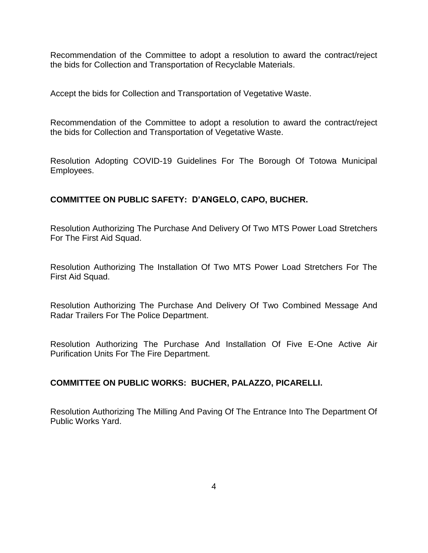Recommendation of the Committee to adopt a resolution to award the contract/reject the bids for Collection and Transportation of Recyclable Materials.

Accept the bids for Collection and Transportation of Vegetative Waste.

Recommendation of the Committee to adopt a resolution to award the contract/reject the bids for Collection and Transportation of Vegetative Waste.

Resolution Adopting COVID-19 Guidelines For The Borough Of Totowa Municipal Employees.

# **COMMITTEE ON PUBLIC SAFETY: D'ANGELO, CAPO, BUCHER.**

Resolution Authorizing The Purchase And Delivery Of Two MTS Power Load Stretchers For The First Aid Squad.

Resolution Authorizing The Installation Of Two MTS Power Load Stretchers For The First Aid Squad.

Resolution Authorizing The Purchase And Delivery Of Two Combined Message And Radar Trailers For The Police Department.

Resolution Authorizing The Purchase And Installation Of Five E-One Active Air Purification Units For The Fire Department.

### **COMMITTEE ON PUBLIC WORKS: BUCHER, PALAZZO, PICARELLI.**

Resolution Authorizing The Milling And Paving Of The Entrance Into The Department Of Public Works Yard.